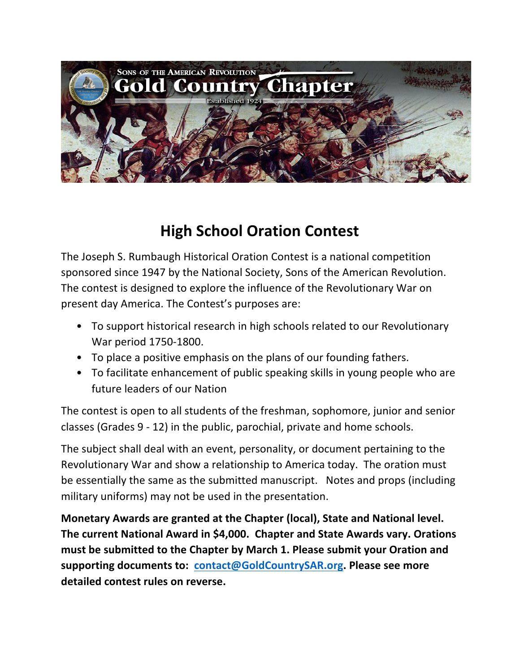

## **High School Oration Contest**

The Joseph S. Rumbaugh Historical Oration Contest is a national competition sponsored since 1947 by the National Society, Sons of the American Revolution. The contest is designed to explore the influence of the Revolutionary War on present day America. The Contest's purposes are:

- To support historical research in high schools related to our Revolutionary War period 1750-1800.
- To place a positive emphasis on the plans of our founding fathers.
- To facilitate enhancement of public speaking skills in young people who are future leaders of our Nation

The contest is open to all students of the freshman, sophomore, junior and senior classes (Grades 9 - 12) in the public, parochial, private and home schools.

The subject shall deal with an event, personality, or document pertaining to the Revolutionary War and show a relationship to America today. The oration must be essentially the same as the submitted manuscript. Notes and props (including military uniforms) may not be used in the presentation.

**Monetary Awards are granted at the Chapter (local), State and National level.** The current National Award in \$4,000. Chapter and State Awards vary. Orations must be submitted to the Chapter by March 1. Please submit your Oration and **supporting documents to: contact@GoldCountrySAR.org. Please see more** detailed contest rules on reverse.